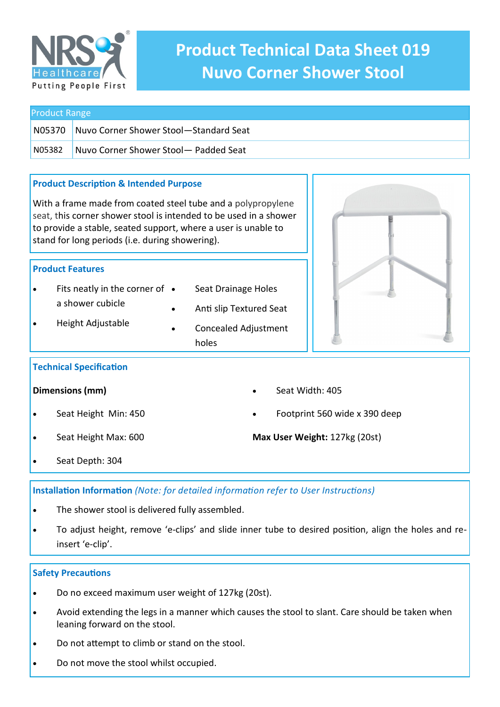

# **Product Technical Data Sheet 019 Nuvo Corner Shower Stool**

Seat Width: 405

**Max User Weight:** 127kg (20st)

Footprint 560 wide x 390 deep

| <b>Product Range</b> |                                        |
|----------------------|----------------------------------------|
| N05370               | Nuvo Corner Shower Stool-Standard Seat |
| N05382               | Nuvo Corner Shower Stool- Padded Seat  |

# **Product Description & Intended Purpose**

With a frame made from coated steel tube and a polypropylene seat, this corner shower stool is intended to be used in a shower to provide a stable, seated support, where a user is unable to stand for long periods (i.e. during showering).

# **Product Features**

- Fits neatly in the corner of a shower cubicle
- Seat Drainage Holes
- Anti slip Textured Seat
- Height Adjustable
- Concealed Adjustment holes



# **Technical Specification**

#### **Dimensions (mm)**

- Seat Height Min: 450
- Seat Height Max: 600
- Seat Depth: 304

**Installation Information** *(Note: for detailed information refer to User Instructions)*

- The shower stool is delivered fully assembled.
- To adjust height, remove 'e-clips' and slide inner tube to desired position, align the holes and reinsert 'e-clip'.

# **Safety Precautions**

- Do no exceed maximum user weight of 127kg (20st).
- Avoid extending the legs in a manner which causes the stool to slant. Care should be taken when leaning forward on the stool.
- Do not attempt to climb or stand on the stool.
- Do not move the stool whilst occupied.